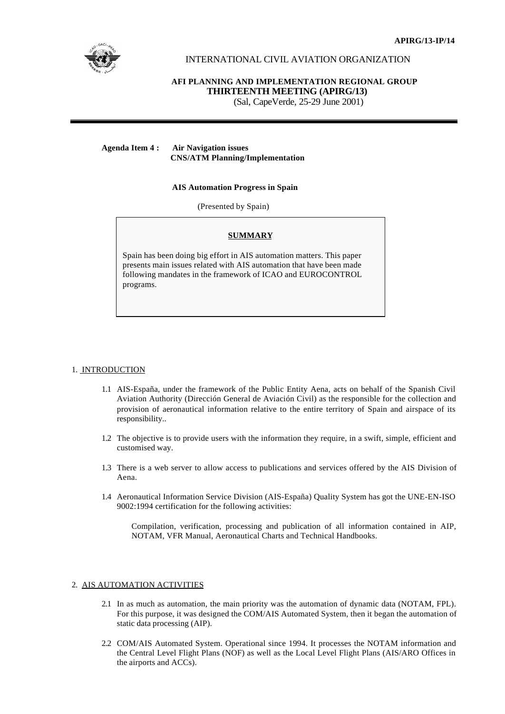## INTERNATIONAL CIVIL AVIATION ORGANIZATION

# **AFI PLANNING AND IMPLEMENTATION REGIONAL GROUP THIRTEENTH MEETING (APIRG/13)**

(Sal, CapeVerde, 25-29 June 2001)

### **Agenda Item 4 : Air Navigation issues CNS/ATM Planning/Implementation**

#### **AIS Automation Progress in Spain**

(Presented by Spain)

# **SUMMARY**

Spain has been doing big effort in AIS automation matters. This paper presents main issues related with AIS automation that have been made following mandates in the framework of ICAO and EUROCONTROL programs.

### 1. INTRODUCTION

- 1.1 AIS-España, under the framework of the Public Entity Aena, acts on behalf of the Spanish Civil Aviation Authority (Dirección General de Aviación Civil) as the responsible for the collection and provision of aeronautical information relative to the entire territory of Spain and airspace of its responsibility..
- 1.2 The objective is to provide users with the information they require, in a swift, simple, efficient and customised way.
- 1.3 There is a web server to allow access to publications and services offered by the AIS Division of Aena.
- 1.4 Aeronautical Information Service Division (AIS-España) Quality System has got the UNE-EN-ISO 9002:1994 certification for the following activities:

Compilation, verification, processing and publication of all information contained in AIP, NOTAM, VFR Manual, Aeronautical Charts and Technical Handbooks.

### 2. AIS AUTOMATION ACTIVITIES

- 2.1 In as much as automation, the main priority was the automation of dynamic data (NOTAM, FPL). For this purpose, it was designed the COM/AIS Automated System, then it began the automation of static data processing (AIP).
- 2.2 COM/AIS Automated System. Operational since 1994. It processes the NOTAM information and the Central Level Flight Plans (NOF) as well as the Local Level Flight Plans (AIS/ARO Offices in the airports and ACCs).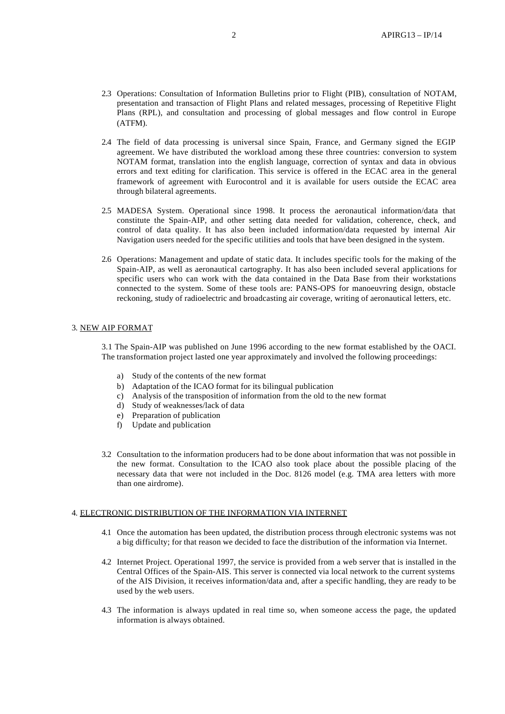- 2.3 Operations: Consultation of Information Bulletins prior to Flight (PIB), consultation of NOTAM, presentation and transaction of Flight Plans and related messages, processing of Repetitive Flight Plans (RPL), and consultation and processing of global messages and flow control in Europe (ATFM).
- 2.4 The field of data processing is universal since Spain, France, and Germany signed the EGIP agreement. We have distributed the workload among these three countries: conversion to system NOTAM format, translation into the english language, correction of syntax and data in obvious errors and text editing for clarification. This service is offered in the ECAC area in the general framework of agreement with Eurocontrol and it is available for users outside the ECAC area through bilateral agreements.
- 2.5 MADESA System. Operational since 1998. It process the aeronautical information/data that constitute the Spain-AIP, and other setting data needed for validation, coherence, check, and control of data quality. It has also been included information/data requested by internal Air Navigation users needed for the specific utilities and tools that have been designed in the system.
- 2.6 Operations: Management and update of static data. It includes specific tools for the making of the Spain-AIP, as well as aeronautical cartography. It has also been included several applications for specific users who can work with the data contained in the Data Base from their workstations connected to the system. Some of these tools are: PANS-OPS for manoeuvring design, obstacle reckoning, study of radioelectric and broadcasting air coverage, writing of aeronautical letters, etc.

#### 3. NEW AIP FORMAT

3.1 The Spain-AIP was published on June 1996 according to the new format established by the OACI. The transformation project lasted one year approximately and involved the following proceedings:

- a) Study of the contents of the new format
- b) Adaptation of the ICAO format for its bilingual publication
- c) Analysis of the transposition of information from the old to the new format
- d) Study of weaknesses/lack of data
- e) Preparation of publication
- f) Update and publication
- 3.2 Consultation to the information producers had to be done about information that was not possible in the new format. Consultation to the ICAO also took place about the possible placing of the necessary data that were not included in the Doc. 8126 model (e.g. TMA area letters with more than one airdrome).

#### 4. ELECTRONIC DISTRIBUTION OF THE INFORMATION VIA INTERNET

- 4.1 Once the automation has been updated, the distribution process through electronic systems was not a big difficulty; for that reason we decided to face the distribution of the information via Internet.
- 4.2 Internet Project. Operational 1997, the service is provided from a web server that is installed in the Central Offices of the Spain-AIS. This server is connected via local network to the current systems of the AIS Division, it receives information/data and, after a specific handling, they are ready to be used by the web users.
- 4.3 The information is always updated in real time so, when someone access the page, the updated information is always obtained.